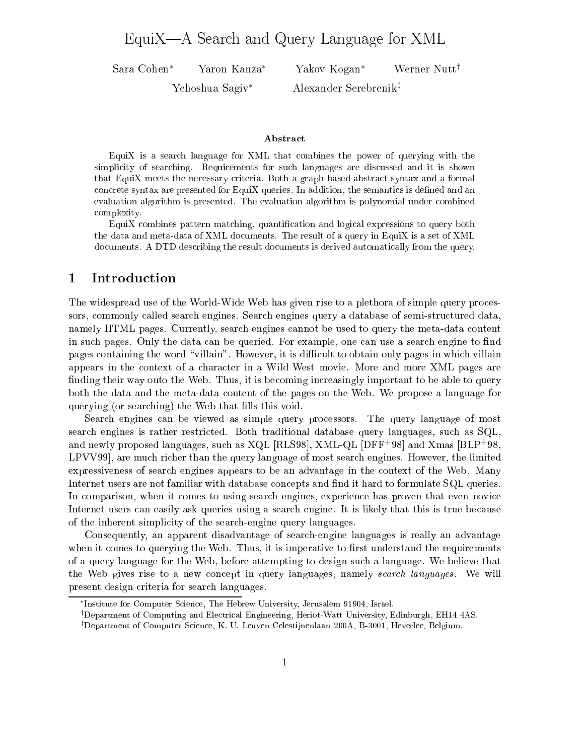# EquiX—A Search and Query Language for XML

Sara Cohen\* Yaron Kanza\* Yakov Kogan\* Werner Nutt<sup>†</sup>

Yehoshua Sagiv<sup>\*</sup> Alexander Serebrenik<sup>†</sup>

#### **Abstract**

EquiX is a sear
h language for XML that ombines the power of querying with the simplicity of searching. Requirements for such languages are discussed and it is shown that EquiX meets the necessary criteria. Both a graph-based abstract syntax and a formal  $\alpha$  concrete syntax are presented for EquiX queries. In addition, the semantics is defined and an evaluation algorithm is presented. The evaluation algorithm is polynomial under combined omplexity.

EquiX combines pattern matching, quantification and logical expressions to query both the data and meta-data of XML do
uments. The result of a query in EquiX is a set of XML documents. A DTD describing the result documents is derived automatically from the query.

### 1 Introdu
tion

The widespread use of the World-Wide Web has given rise to a plethora of simple query pro
essors, commonly called search engines. Search engines query a database of semi-structured data, namely HTML pages. Currently, search engines cannot be used to query the meta-data content in such pages. Only the data can be queried. For example, one can use a search engine to find pages containing the word "villain". However, it is difficult to obtain only pages in which villain appears in the ontext of a hara
ter in a Wild West movie. More and more XML pages are finding their way onto the Web. Thus, it is becoming increasingly important to be able to query both the data and the meta-data ontent of the pages on the Web. We propose a language for querying (or searching) the Web that fills this void.

Sear
h engines an be viewed as simple query pro
essors. The query language of most sear
h engines is rather restri
ted. Both traditional database query languages, su
h as SQL, and newly proposed languages, such as  $\Delta Q_L$  [RLS98],  $\Delta M L$ - $Q_L$  [DFF+98] and  $\Delta$ mas [DLF+98, LPVV99, are much richer than the query language of most search engines. However, the limited expressiveness of search engines appears to be an advantage in the context of the Web. Many Internet users are not familiar with database concepts and find it hard to formulate SQL queries. In comparison, when it comes to using search engines, experience has proven that even novice Internet users can easily ask queries using a search engine. It is likely that this is true because of the inherent simplicity of the search-engine query languages.

Consequently, an apparent disadvantage of sear
h-engine languages is really an advantage when it comes to querying the Web. Thus, it is imperative to first understand the requirements of a query language for the Web, before attempting to design su
h a language. We believe that the Web gives rise to a new concept in query languages, namely *search languages*. We will present design riteria for sear
h languages.

Institute for Computer S
ien
e, The Hebrew University, Jerusalem 91904, Israel.

<sup>&#</sup>x27;Department of Computing and Electrical Engineering, Heriot-Watt University, Edinburgh, EH14 4AS.

Department of Computer Science, K. U. Leuven Celestijnenlaan 200A, B-3001, Heverlee, Belgium.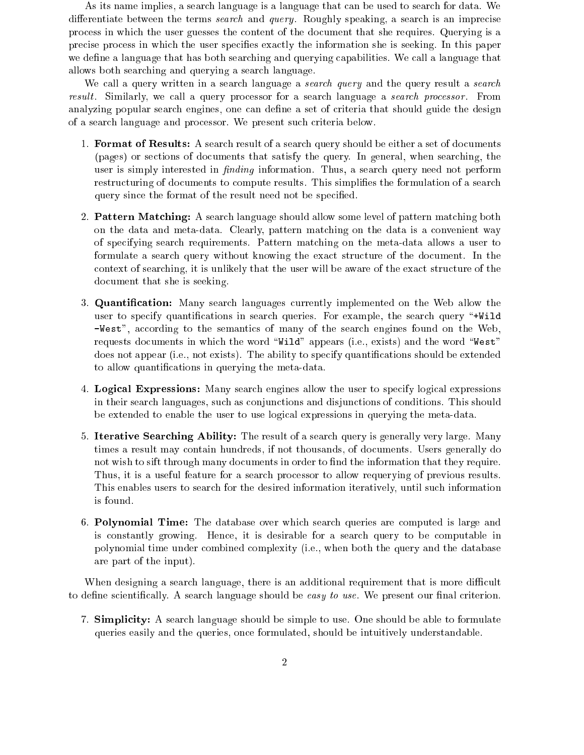As its name implies, a sear
h language is a language that an be used to sear
h for data. We differentiate between the terms *search* and *query*. Roughly speaking, a search is an imprecise pro
ess in whi
h the user guesses the ontent of the do
ument that she requires. Querying is a precise process in which the user specifies exactly the information she is seeking. In this paper we define a language that has both searching and querying capabilities. We call a language that allows both sear
hing and querying a sear
h language.

We call a query written in a search language a *search query* and the query result a *search* result. Similarly, we call a query processor for a search language a search processor. From analyzing popular search engines, one can define a set of criteria that should guide the design of a search language and processor. We present such criteria below.

- 1. Format of Results: A search result of a search query should be either a set of documents (pages) or se
tions of do
uments that satisfy the query. In general, when sear
hing, the user is simply interested in *finding* information. Thus, a search query need not perform restructuring of documents to compute results. This simplifies the formulation of a search query since the format of the result need not be specified.
- 2. Pattern Matching: A search language should allow some level of pattern matching both on the data and meta-data. Clearly, pattern mat
hing on the data is a onvenient way of spe
ifying sear
h requirements. Pattern mat
hing on the meta-data allows a user to formulate a sear
h query without knowing the exa
t stru
ture of the do
ument. In the context of searching, it is unlikely that the user will be aware of the exact structure of the do
ument that she is seeking.
- 3. Quantification: Many search languages currently implemented on the Web allow the user to specify quantifications in search queries. For example, the search query "+Wild -West", according to the semantics of many of the search engines found on the Web, requests documents in which the word "Wild" appears (i.e., exists) and the word "West" does not appear (i.e., not exists). The ability to specify quantifications should be extended to allow quantifications in querying the meta-data.
- 4. Logical Expressions: Many search engines allow the user to specify logical expressions in their sear
h languages, su
h as onjun
tions and disjun
tions of onditions. This should be extended to enable the user to use logi
al expressions in querying the meta-data.
- 5. Iterative Sear
hing Ability: The result of a sear
h query is generally very large. Many times a result may ontain hundreds, if not thousands, of do
uments. Users generally do not wish to sift through many documents in order to find the information that they require. Thus, it is a useful feature for a sear
h pro
essor to allow requerying of previous results. This enables users to sear
h for the desired information iteratively, until su
h information is found.
- 6. Polynomial Time: The database over whi
h sear
h queries are omputed is large and is onstantly growing. Hen
e, it is desirable for a sear
h query to be omputable in polynomial time under ombined omplexity (i.e., when both the query and the database are part of the input).

When designing a search language, there is an additional requirement that is more difficult to define scientifically. A search language should be easy to use. We present our final criterion.

7. **Simplicity:** A search language should be simple to use. One should be able to formulate queries easily and the queries, on
e formulated, should be intuitively understandable.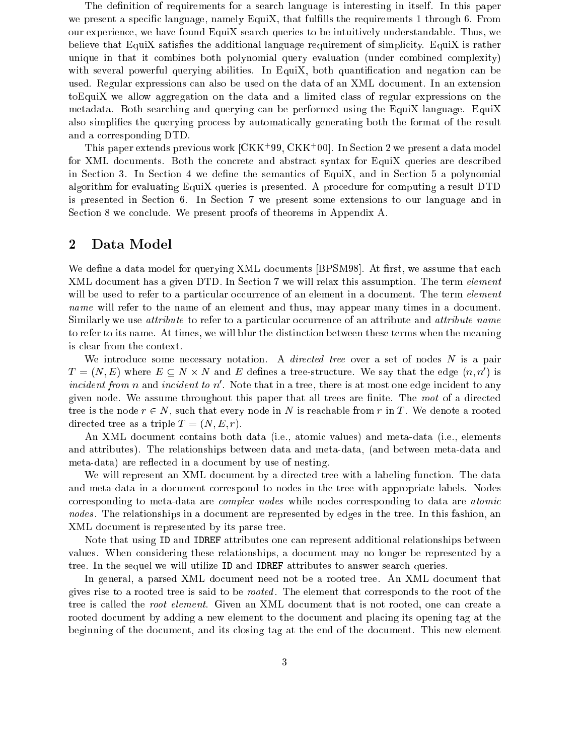The definition of requirements for a search language is interesting in itself. In this paper we present a specific language, namely EquiX, that fulfills the requirements 1 through 6. From our experien
e, we have found EquiX sear
h queries to be intuitively understandable. Thus, we believe that EquiX satisfies the additional language requirement of simplicity. EquiX is rather unique in that it combines both polynomial query evaluation (under combined complexity) with several powerful querying abilities. In EquiX, both quantification and negation can be used. Regular expressions an also be used on the data of an XML do
ument. In an extension toEquiX we allow aggregation on the data and a limited lass of regular expressions on the metadata. Both sear
hing and querying an be performed using the EquiX language. EquiX also simplies the querying pro
ess by automati
ally generating both the format of the result and a orresponding DTD.

This paper extends previous work [CKK+99, CKK+00]. In Section 2 we present a data model for XML documents. Both the concrete and abstract syntax for EquiX queries are described in Section 3. In Section 4 we define the semantics of EquiX, and in Section 5 a polynomial algorithm for evaluating EquiX queries is presented. A pro
edure for omputing a result DTD is presented in Se
tion 6. In Se
tion 7 we present some extensions to our language and in Section 8 we conclude. We present proofs of theorems in Appendix A.

### 2 Data Model

We define a data model for querying XML documents [BPSM98]. At first, we assume that each XML document has a given DTD. In Section 7 we will relax this assumption. The term element will be used to refer to a particular occurrence of an element in a document. The term element name will refer to the name of an element and thus, may appear many times in a document. Similarly we use *attribute* to refer to a particular occurrence of an attribute and *attribute name* to refer to its name. At times, we will blur the distin
tion between these terms when the meaning is lear from the ontext.

We introduce some necessary notation. A *directed tree* over a set of nodes N is a pair  $T = (N, E)$  where  $E \subseteq N \times N$  and  $E$  defines a tree-structure. We say that the edge  $(n, n)$  is  $\it incuenn$  from  $\it n$  and  $\it incueen$  to  $\it n$  . Note that in a tree, there is at most one edge incluent to any given node. We assume throughout this paper that all trees are finite. The root of a directed tree is the node  $r \in N$ , such that every node in N is reachable from r in T. We denote a rooted directed tree as a triple  $T = (N, E, r)$ .

An XML document contains both data (i.e., atomic values) and meta-data (i.e., elements and attributes). The relationships between data and meta-data, (and between meta-data and meta-data) are reflected in a document by use of nesting.

We will represent an XML document by a directed tree with a labeling function. The data and meta-data in a do
ument orrespond to nodes in the tree with appropriate labels. Nodes corresponding to meta-data are *complex nodes* while nodes corresponding to data are *atomic* nodes. The relationships in a document are represented by edges in the tree. In this fashion, an XML do
ument is represented by its parse tree.

Note that using ID and IDREF attributes one an represent additional relationships between values. When considering these relationships, a document may no longer be represented by a tree. In the sequel we will utilize ID and IDREF attributes to answer sear
h queries.

In general, a parsed XML document need not be a rooted tree. An XML document that gives rise to a rooted tree is said to be *rooted*. The element that corresponds to the root of the tree is called the *root element*. Given an XML document that is not rooted, one can create a rooted document by adding a new element to the document and placing its opening tag at the beginning of the do
ument, and its losing tag at the end of the do
ument. This new element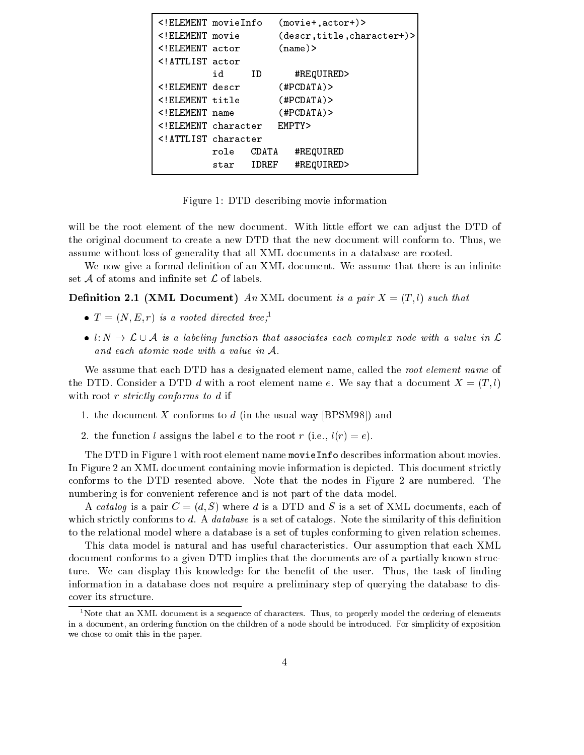| FLEMENT movieInfo</th <th></th> <th></th> <th><math>(movie+, actor+)</math></th>      |      |       | $(movie+, actor+)$          |
|---------------------------------------------------------------------------------------|------|-------|-----------------------------|
| ELEMENT movie</th <th></th> <th></th> <th><math>descr, title, character+)</math></th> |      |       | $descr, title, character+)$ |
| FLFMFNT actor</th <th></th> <th></th> <th>(name)</th>                                 |      |       | (name)                      |
| ATTLIST actor</th <th></th> <th></th> <th></th>                                       |      |       |                             |
|                                                                                       | id   | ТD    | #REQUIRED>                  |
| FLFMFNT descr</th <th></th> <th></th> <th>(HPCDATA)</th>                              |      |       | (HPCDATA)                   |
| FLFMFNT title</th <th></th> <th></th> <th>(HPCDATA)</th>                              |      |       | (HPCDATA)                   |
| $\leq$ ! FI FMFNT                                                                     | name |       | (HPCDATA)                   |
| ELEMENT character</th <th></th> <th></th> <th>FMPTY&gt;</th>                          |      |       | FMPTY>                      |
| ATTLIST character</th <th></th> <th></th> <th></th>                                   |      |       |                             |
|                                                                                       | role | CDATA | #REQUIRED                   |
|                                                                                       | star | TDRFF | #REQUIRED>                  |
|                                                                                       |      |       |                             |

Figure 1: DTD des
ribing movie information

will be the root element of the new document. With little effort we can adjust the DTD of the original document to create a new DTD that the new document will conform to. Thus, we assume without loss of generality that all XML do
uments in a database are rooted.

We now give a formal definition of an XML document. We assume that there is an infinite set  $A$  of atoms and infinite set  $\mathcal L$  of labels.

**Definition 2.1 (XML Document)** An XML document is a pair  $X = (T, l)$  such that

- $T = (N, E, r)$  is a rooted directed tree;<sup>1</sup>
- $l: N \to \mathcal{L} \cup \mathcal{A}$  is a labeling function that associates each complex node with a value in  $\mathcal{L}$ and each atomic node with a value in A.

We assume that each DTD has a designated element name, called the root element name of the DTD. Consider a DTD d with a root element name e. We say that a document  $X = (T, l)$ with root  $r$  strictly conforms to  $d$  if

- 1. the document X conforms to  $d$  (in the usual way [BPSM98]) and
- 2. the function l assigns the label e to the root r (i.e.,  $l(r) = e$ ).

The DTD in Figure 1 with root element name movie Info describes information about movies. In Figure 2 an XML document containing movie information is depicted. This document strictly onforms to the DTD resented above. Note that the nodes in Figure 2 are numbered. The numbering is for onvenient referen
e and is not part of the data model.

A catalog is a pair  $C = (d, S)$  where d is a DTD and S is a set of XML documents, each of which strictly conforms to d. A database is a set of catalogs. Note the similarity of this definition to the relational model where a database is a set of tuples conforming to given relation schemes.

This data model is natural and has useful hara
teristi
s. Our assumption that ea
h XML document conforms to a given DTD implies that the documents are of a partially known structure. We can display this knowledge for the benefit of the user. Thus, the task of finding information in a database does not require a preliminary step of querying the database to dis over its stru
ture.

Note that an XML document is a sequence of characters. Thus, to properly model the ordering of elements' in a document, an ordering function on the children of a node should be introduced. For simplicity of exposition we hose to omit this in the paper.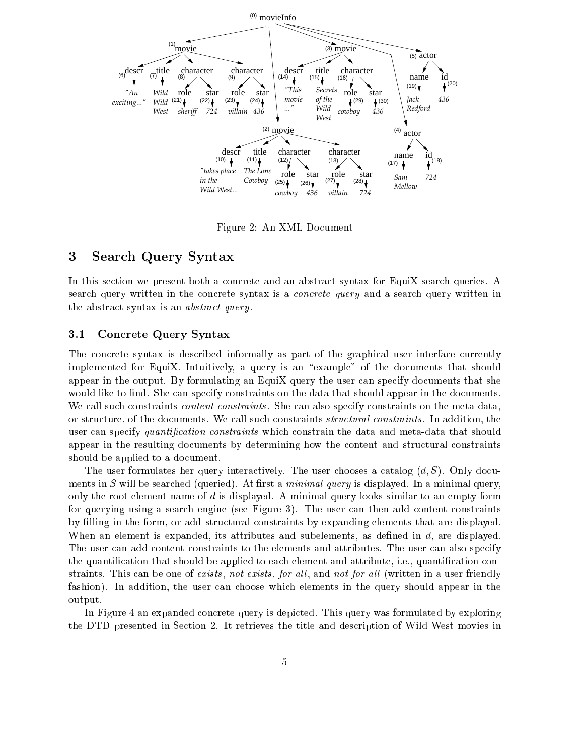

Figure 2: An XML Do
ument

## 3 Sear
h Query Syntax

In this section we present both a concrete and an abstract syntax for EquiX search queries. A search query written in the concrete syntax is a *concrete query* and a search query written in the abstract syntax is an *abstract query*.

#### 3.1 Con
rete Query Syntax

The concrete syntax is described informally as part of the graphical user interface currently implemented for EquiX. Intuitively, a query is an "example" of the documents that should appear in the output. By formulating an EquiX query the user can specify documents that she would like to find. She can specify constraints on the data that should appear in the documents. We call such constraints *content constraints*. She can also specify constraints on the meta-data, or structure, of the documents. We call such constraints *structural constraints*. In addition, the user can specify quantification constraints which constrain the data and meta-data that should appear in the resulting documents by determining how the content and structural constraints should be applied to a document.

The user formulates her query interactively. The user chooses a catalog  $(d, S)$ . Only documents in S will be searched (queried). At first a *minimal query* is displayed. In a minimal query, only the root element name of <sup>d</sup> is displayed. A minimal query looks similar to an empty form for querying using a search engine (see Figure 3). The user can then add content constraints by filling in the form, or add structural constraints by expanding elements that are displayed. When an element is expanded, its attributes and subelements, as defined in  $d$ , are displayed. The user can add content constraints to the elements and attributes. The user can also specify the quantification that should be applied to each element and attribute, i.e., quantification constraints. This can be one of exists, not exists, for all, and not for all (written in a user friendly fashion). In addition, the user can choose which elements in the query should appear in the output.

In Figure 4 an expanded concrete query is depicted. This query was formulated by exploring the DTD presented in Se
tion 2. It retrieves the title and des
ription of Wild West movies in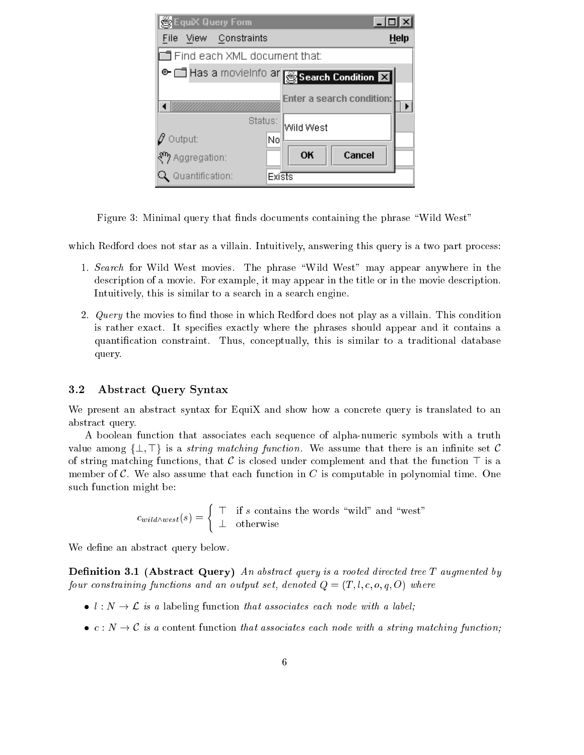| <b>SEquix Query Form</b>                                      | $\Box$ $\Box$ $\times$ |
|---------------------------------------------------------------|------------------------|
| File View Constraints                                         | <b>Help</b>            |
| Find each XML document that:                                  |                        |
| © □ Has a movielnfo an Search Condition <b>X</b>              |                        |
| <b>Enter a search condition:</b>                              |                        |
| Status:<br>Wild West                                          |                        |
| Output:<br>No<br>Cancel<br>OK<br><sup>୧</sup> ී/ Aggregation: |                        |
| $Q$ Quantification:<br>Exists                                 |                        |

Figure 3: Minimal query that finds documents containing the phrase "Wild West"

which Redford does not star as a villain. Intuitively, answering this query is a two part process:

- 1. Sear
h for Wild West movies. The phrase \Wild West" may appear anywhere in the des
ription of a movie. For example, it may appear in the title or in the movie des
ription. Intuitively, this is similar to a search in a search engine.
- 2. Query the movies to find those in which Redford does not play as a villain. This condition is rather exact. It specifies exactly where the phrases should appear and it contains a quantification constraint. Thus, conceptually, this is similar to a traditional database query.

#### $3.2$ Abstract Query Syntax

We present an abstract syntax for EquiX and show how a concrete query is translated to an abstra
t query.

A boolean fun
tion that asso
iates ea
h sequen
e of alpha-numeri symbols with a truth value among  $\{\perp,\top\}$  is a *string matching function*. We assume that there is an infinite set C of string matching functions, that C is closed under complement and that the function  $\top$  is a member of C. We also assume that each function in C is computable in polynomial time. One such function might be:

> $-wu$ u $\omega$ u $\omega$  $\sim$

We define an abstract query below.

**Definition 3.1 (Abstract Query)** An abstract query is a rooted directed tree T augmented by four constraining functions and an output set, denoted  $Q = (T, l, c, o, q, O)$  where

- $l: N \to \mathcal{L}$  is a labeling function that associates each node with a label;
- $c: N \to \mathcal{C}$  is a content function that associates each node with a string matching function;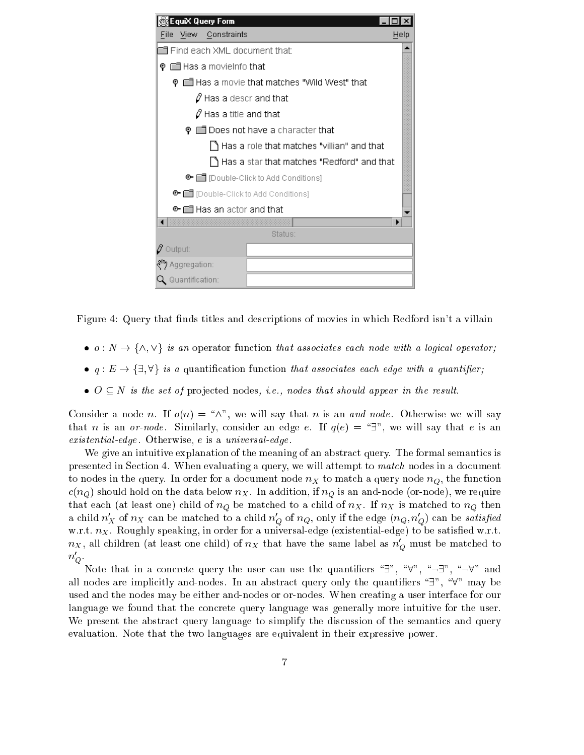| EquiX Query Form                                     |                                               |      |  |  |  |  |
|------------------------------------------------------|-----------------------------------------------|------|--|--|--|--|
| View<br>Constraints<br>File                          |                                               | Help |  |  |  |  |
|                                                      | ⊟ Find each XML document that:                |      |  |  |  |  |
|                                                      | $\circ$ $\Box$ Has a movielnfo that           |      |  |  |  |  |
|                                                      | ? □ Has a movie that matches "Wild West" that |      |  |  |  |  |
| $\vartheta$ Has a descr and that                     |                                               |      |  |  |  |  |
|                                                      | $\vartheta$ Has a title and that              |      |  |  |  |  |
| $\circ$ $\Box$ Does not have a character that        |                                               |      |  |  |  |  |
| ∐`Has a role that matches "villian" and that         |                                               |      |  |  |  |  |
| $\bigcap$ Has a star that matches "Redford" and that |                                               |      |  |  |  |  |
| C I [Double-Click to Add Conditions]                 |                                               |      |  |  |  |  |
| C- is Double-Click to Add Conditions]                |                                               |      |  |  |  |  |
| $\bullet$ $\Box$ Has an actor and that               |                                               |      |  |  |  |  |
|                                                      |                                               |      |  |  |  |  |
| Status:                                              |                                               |      |  |  |  |  |
| $\sqrt{2}$ Output:                                   |                                               |      |  |  |  |  |
| <sup>୧</sup> ී/ Aggregation:                         |                                               |      |  |  |  |  |
| $Q$ Quantification:                                  |                                               |      |  |  |  |  |

Figure 4: Query that finds titles and descriptions of movies in which Redford isn't a villain

- $o: N \to \{\land, \lor\}$  is an operator function that associates each node with a logical operator;
- $q: E \to \{\exists, \forall\}$  is a quantification function that associates each edge with a quantifier;
- $O \subseteq N$  is the set of projected nodes, i.e., nodes that should appear in the result.

Consider a node n. If  $o(n) = \sqrt[n]{n}$ , we will say that n is an and-node. Otherwise we will say that n is an or-node. Similarly, consider an edge e. If  $q(e) = \mathbb{I}^n$ , we will say that e is an existential-edge. Otherwise, <sup>e</sup> is a universal-edge.

We give an intuitive explanation of the meaning of an abstract query. The formal semantics is presented in Section 4. When evaluating a query, we will attempt to match nodes in a document to nodes in the query. In order for a document node  $n<sub>X</sub>$  to match a query node  $n<sub>Q</sub>$ , the function  $c(n_Q)$  should hold on the data below  $n_X$ . In addition, if  $n_Q$  is an and-node (or-node), we require that each (at least one) child of  $n_Q$  be matched to a child of  $n_X$ . If  $n_X$  is matched to  $n_Q$  then a child  $n_X$  of  $n_X$  can be matched to a child  $n_Q$  of  $n_Q$ , only if the edge  $(n_Q, n_Q)$  can be satisfied w.r.t.  $n_X$ . Roughly speaking, in order for a universal-edge (existential-edge) to be satisfied w.r.t.  $n_X$ , all children (at least one child) of  $n_X$  that have the same label as  $n_O$  must be matched to  $n_{Q}$ .

Note that in a concrete query the user can use the quantifiers " $\exists$ ", " $\forall$ ", " $\neg \exists$ ", " $\neg \forall$ " and all nodes are implicitly and-nodes. In an abstract query only the quantifiers " $\exists$ ", " $\forall$ " may be used and the nodes may be either and-nodes or or-nodes. When creating a user interface for our language we found that the concrete query language was generally more intuitive for the user. We present the abstract query language to simplify the discussion of the semantics and query evaluation. Note that the two languages are equivalent in their expressive power.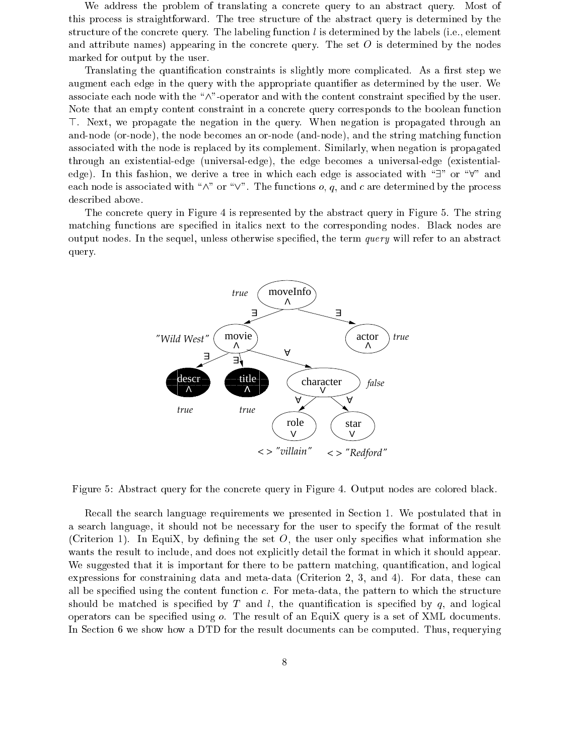We address the problem of translating a concrete query to an abstract query. Most of this process is straightforward. The tree structure of the abstract query is determined by the structure of the concrete query. The labeling function  $l$  is determined by the labels (i.e., element and attribute names) appearing in the concrete query. The set  $O$  is determined by the nodes marked for output by the user.

Translating the quantification constraints is slightly more complicated. As a first step we augment each edge in the query with the appropriate quantifier as determined by the user. We associate each node with the " $\wedge$ "-operator and with the content constraint specified by the user. Note that an empty content constraint in a concrete query corresponds to the boolean function >. Next, we propagate the negation in the query. When negation is propagated through an and-node (or-node), the node becomes an or-node (and-node), and the string matching function asso
iated with the node is repla
ed by its omplement. Similarly, when negation is propagated through an existential-edge (universal-edge), the edge be
omes a universal-edge (existentialedge). In this fashion, we derive a tree in which each edge is associated with " $\exists$ " or " $\forall$ " and each node is associated with " $\wedge$ " or " $\vee$ ". The functions o, q, and c are determined by the process des
ribed above.

The concrete query in Figure 4 is represented by the abstract query in Figure 5. The string matching functions are specified in italics next to the corresponding nodes. Black nodes are output nodes. In the sequel, unless otherwise specified, the term *query* will refer to an abstract query.



Figure 5: Abstract query for the concrete query in Figure 4. Output nodes are colored black.

Recall the search language requirements we presented in Section 1. We postulated that in a search language, it should not be necessary for the user to specify the format of the result (Criterion 1). In EquiX, by defining the set  $O$ , the user only specifies what information she wants the result to include, and does not explicitly detail the format in which it should appear. We suggested that it is important for there to be pattern matching, quantification, and logical expressions for constraining data and meta-data (Criterion 2, 3, and 4). For data, these can all be specified using the content function c. For meta-data, the pattern to which the structure should be matched is specified by T and l, the quantification is specified by q, and logical operators can be specified using  $o$ . The result of an EquiX query is a set of XML documents. In Section 6 we show how a DTD for the result documents can be computed. Thus, requerying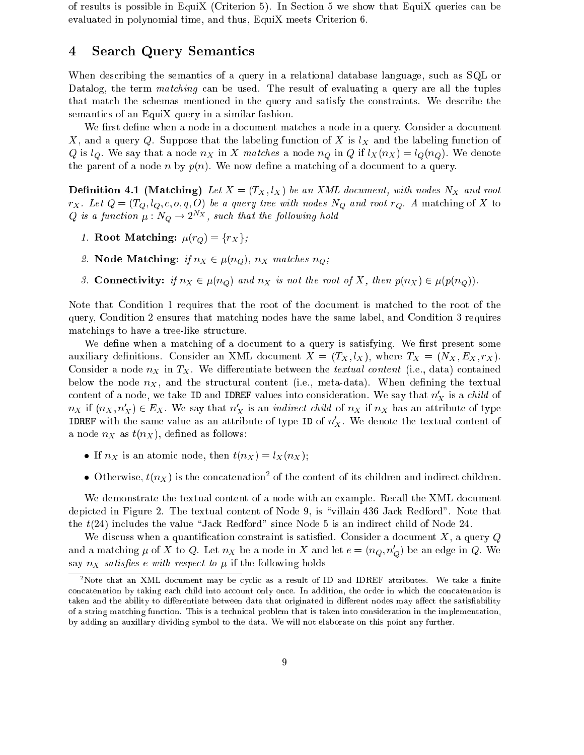of results is possible in EquiX (Criterion 5). In Se
tion 5 we show that EquiX queries an be evaluated in polynomial time, and thus, EquiX meets Criterion 6.

## 4 Sear
h Query Semanti
s

When describing the semantics of a query in a relational database language, such as SQL or Datalog, the term matching can be used. The result of evaluating a query are all the tuples that mat
h the s
hemas mentioned in the query and satisfy the onstraints. We des
ribe the semantics of an EquiX query in a similar fashion.

We first define when a node in a document matches a node in a query. Consider a document X, and a query Q. Suppose that the labeling function of X is  $l_X$  and the labeling function of Q is lQ. We say that <sup>a</sup> node nX in <sup>X</sup> mat
hes <sup>a</sup> node nQ in <sup>Q</sup> if lX(nX) <sup>=</sup> lQ(nQ). We denote the parent of a node *n* by  $p(n)$ . We now define a matching of a document to a query.

**Definition 4.1 (Matching)** Let  $X = (T_X, l_X)$  be an XML document, with nodes  $N_X$  and root  $r_X$ . Let  $Q = (T_Q, l_Q, c, o, q, O)$  be a query tree with nodes  $N_Q$  and root  $r_Q$ . A matching of X to  $Q$  is a function  $\mu: N_Q \to 2^{+\infty},$  such that the following hold

- 1. Root Matching:  $\mu(r_Q) = \{r_X\};$
- 2. Node Matching: if  $n_X \in \mu(n_Q)$ ,  $n_X$  matches  $n_Q$ ;
- 3. Connectivity: if  $n_X \in \mu(n_Q)$  and  $n_X$  is not the root of X, then  $p(n_X) \in \mu(p(n_Q))$ .

Note that Condition 1 requires that the root of the document is matched to the root of the query, Condition 2 ensures that mat
hing nodes have the same label, and Condition 3 requires mat
hings to have a tree-like stru
ture.

We define when a matching of a document to a query is satisfying. We first present some auxiliary definitions. Consider an XML document  $X = (T_X, l_X)$ , where  $T_X = (N_X, E_X, r_X)$ . Consider a node  $n_X$  in  $T_X$ . We differentiate between the *textual content* (i.e., data) contained below the node  $n_X$ , and the structural content (i.e., meta-data). When defining the textual content of a node, we take 1D and 1DREF values into consideration. We say that  $n_X$  is a *chua* of  $n_{X}$  if  $(n_{X},n_{X})\in E_{X}.$  We say that  $n_{X}$  is an *marrect chua* of  $n_{X}$  if  $n_{X}$  has an attribute of type **IDREF** with the same value as an attribute of type ID of  $n_X$ . We denote the textual content of a node  $n_X$  as  $t(n_X)$ , defined as follows:

- If  $n_X$  is an atomic node, then  $t(n_X) = l_X(n_X);$
- $\bullet$  Otherwise,  $\iota(n_X)$  is the concatenation- of the content of its children and indirect children.

We demonstrate the textual content of a node with an example. Recall the XML document depicted in Figure 2. The textual content of Node 9, is "villain 436 Jack Redford". Note that the  $t(24)$  includes the value "Jack Redford" since Node 5 is an indirect child of Node 24.

We discuss when a quantification constraint is satisfied. Consider a document  $X$ , a query  $Q$ and a matching  $\mu$  of  $X$  to  $Q$ . Let  $n_X$  be a node in  $X$  and let  $e = (n_Q, n_Q)$  be an edge in  $Q$ . We say  $n_X$  satisfies e with respect to  $\mu$  if the following holds

<sup>-</sup>Note that an XML document may be cyclic as a result of ID and IDREF attributes. We take a finite concatenation by taking each child into account only once. In addition, the order in which the concatenation is taken and the ability to differentiate between data that originated in different nodes may affect the satisfiability of a string mat
hing fun
tion. This is a te
hni
al problem that is taken into onsideration in the implementation, by adding an auxillary dividing symbol to the data. We will not elaborate on this point any further.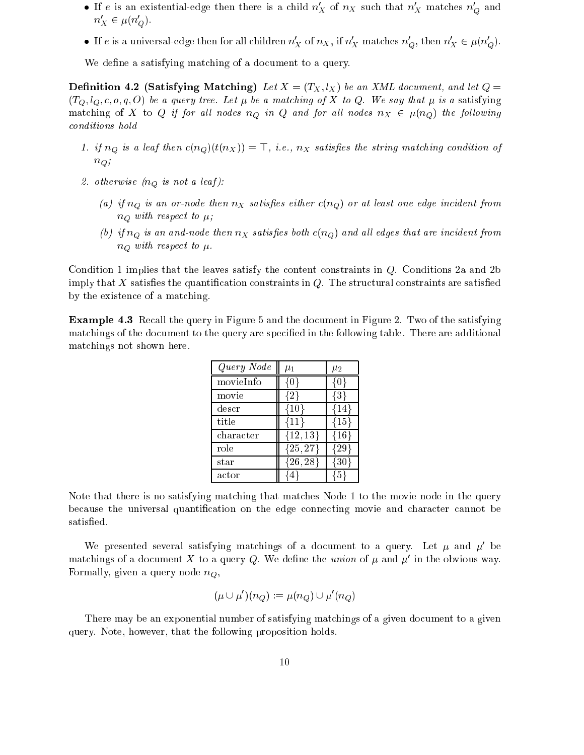- If e is an existential-edge then there is a child  $n_X$  of  $n_X$  such that  $n_X$  matches  $n_Q$  and  $n_X \in \mu(n_Q).$
- If e is a universal-edge then for all children  $n_X$  of  $n_X$ , if  $n_X$  matches  $n_Q$ , then  $n_X \in \mu(n_Q)$ .

We define a satisfying matching of a document to a query.

Definition 4.2 (Satisfying Matching) Let  $X = (T_X, l_X)$  be an XML document, and let  $Q =$  $(T_Q, l_Q, c, o, q, O)$  be a query tree. Let  $\mu$  be a matching of X to Q. We say that  $\mu$  is a satisfying matching of X to Q if for all nodes  $n_Q$  in Q and for all nodes  $n_X \in \mu(n_Q)$  the following onditions hold

- 1. if  $n_Q$  is a leaf then  $c(n_Q)(t(n_X)) = \top$ , i.e.,  $n_X$  satisfies the string matching condition of  $n_Q;$
- 2. otherwise  $(n_Q \text{ is not a leaf})$ :
	- (a) if  $n_Q$  is an or-node then  $n_X$  satisfies either  $c(n_Q)$  or at least one edge incident from  $n_Q$  with respect to  $\mu$ ;
	- (b) if  $n_Q$  is an and-node then  $n_X$  satisfies both  $c(n_Q)$  and all edges that are incident from  $n_Q$  with respect to  $\mu$ .

Condition 1 implies that the leaves satisfy the ontent onstraints in Q. Conditions 2a and 2b imply that  $X$  satisfies the quantification constraints in  $Q$ . The structural constraints are satisfied by the existen
e of a mat
hing.

**Example 4.3** Recall the query in Figure 5 and the document in Figure 2. Two of the satisfying matchings of the document to the query are specified in the following table. There are additional mat
hings not shown here.

| Query Node          | $\mu_1$    | $\mu_2$  |
|---------------------|------------|----------|
| movieInfo           | $\{0\}$    | {0}      |
| movie               | ${2}$      | $\{3\}$  |
| $_{\mathrm{descr}}$ | ${10}$     | ${14}$   |
| title               | ${11}$     | ${15}$   |
| ${\rm character}$   | ${12, 13}$ | ${16}$   |
| role                | ${25, 27}$ | ${29}$   |
| $_{\rm star}$       | ${26, 28}$ | $\{30\}$ |
| actor               |            | Ð        |

Note that there is no satisfying matching that matches Node 1 to the movie node in the query because the universal quantification on the edge connecting movie and character cannot be satisfied.

We presented several satisfying matchings of a document to a query. Let  $\mu$  and  $\mu$  be matchings of a document  $X$  to a query  $Q$ . We define the union of  $\mu$  and  $\mu$  in the obvious way. Formally, given a query node  $n_Q$ ,

$$
(\mu \cup \mu')(n_Q) := \mu(n_Q) \cup \mu'(n_Q)
$$

There may be an exponential number of satisfying matchings of a given document to a given query. Note, however, that the following proposition holds.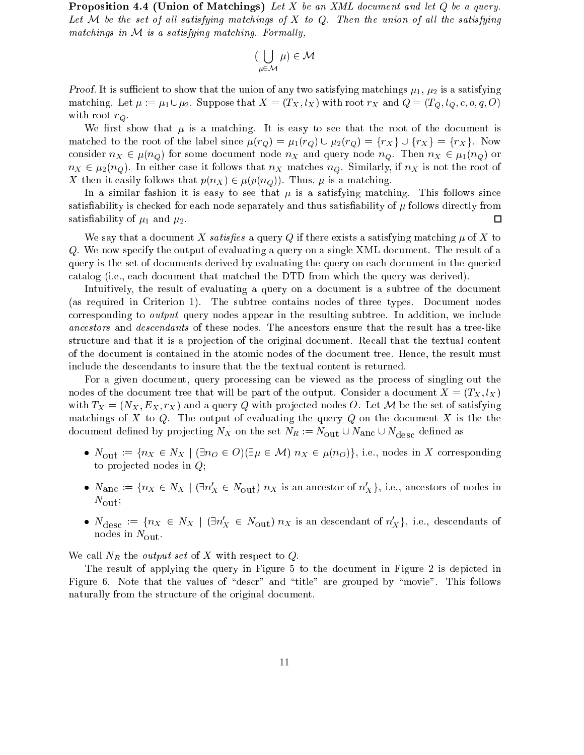**Proposition 4.4 (Union of Matchings)** Let X be an XML document and let  $Q$  be a query. Let M be the set of all satisfying matchings of X to Q. Then the union of all the satisfying  $matching in M$  is a satisfying matching. Formally,

$$
(\bigcup_{\mu \in \mathcal{M}} \mu) \in \mathcal{M}
$$

Proof. It is suÆ
ient to show that the union of any two satisfying mat
hings 1, 2 is <sup>a</sup> satisfying math in the fine in the state of the contract that  $\Lambda$  is the contract of  $\Lambda$  and  $\Lambda$   $\Lambda$  is the  $\Lambda$  is that  $\Lambda$ with root  $r_Q$ .

We first show that  $\mu$  is a matching. It is easy to see that the root of the document is matched to the root of the label since  $\mu(r_Q) = \mu_1(r_Q) \cup \mu_2(r_Q) = \{r_X\} \cup \{r_X\} = \{r_X\}$ . Now consider  $n_X \in \mu(n_Q)$  for some document node  $n_X$  and query node  $n_Q$ . Then  $n_X \in \mu_1(n_Q)$  or  $n_X \in \mu_2(n_Q)$ . In either case it follows that  $n_X$  matches  $n_Q$ . Similarly, if  $n_X$  is not the root of  $\mathbb{R}^n$  is easily follows that property  $\mathbb{R}^n$  (p(nX)  $\mathbb{R}^n$  (p(nX)). Thus, is a matrix following.

In a similar fashion it is easy to see that  $\mu$  is a satisfying matching. This follows since satisfiability is checked for each node separately and thus satisfiability of  $\mu$  follows directly from 口 satisfied that the control of 1 and 2.

We say that a document X satisfies a query Q if there exists a satisfying matching  $\mu$  of X to Q. We now specify the output of evaluating a query on a single XML document. The result of a query is the set of do
uments derived by evaluating the query on ea
h do
ument in the queried atalog (i.e., ea
h do
ument that mat
hed the DTD from whi
h the query was derived).

Intuitively, the result of evaluating a query on a document is a subtree of the document (as required in Criterion 1). The subtree ontains nodes of three types. Do
ument nodes corresponding to *output* query nodes appear in the resulting subtree. In addition, we include an
estors and des
endants of these nodes. The an
estors ensure that the result has a tree-like structure and that it is a projection of the original document. Recall that the textual content of the do
ument is ontained in the atomi nodes of the do
ument tree. Hen
e, the result must in
lude the des
endants to insure that the the textual ontent is returned.

For a given document, query processing can be viewed as the process of singling out the nodes of the document tree that will be part of the output. Consider a document  $X = (T_X, l_X)$ with  $T_X = (N_X, E_X, r_X)$  and a query Q with projected nodes O. Let M be the set of satisfying matchings of X to Q. The output of evaluating the query  $Q$  on the document X is the the document defined by projecting  $N_X$  on the set  $N_R := N_{\text{out}} \cup N_{\text{anc}} \cup N_{\text{desc}}$  defined as

- $N_{\text{out}} := \{ n_X \in N_X \mid (\exists n_O \in O)(\exists \mu \in \mathcal{M}) \mid n_X \in \mu(n_O) \}, \text{ i.e., nodes in } X \text{ corresponding}$ to projected nodes in  $Q$ ;
- $N$ anc := { $n_X \in N_X$  | ( $\exists n_X \in N_{\text{out}}$ )  $n_X$  is an ancestor of  $n_X$ }, i.e., ancestors of nodes in  $N_{\text{out}}$ ;
- $N_{\text{desc}} := \{ n_X \in N_X \mid (\exists n_X \in N_{\text{out}}) \ n_X \text{ is an descendant or } n_X \}, \text{ i.e., descendants or } n_X \}$ nodes in  $N_{\text{out}}$ .

We call  $N_R$  the *output set* of X with respect to  $Q$ .

The result of applying the query in Figure 5 to the document in Figure 2 is depicted in Figure 6. Note that the values of "descr" and "title" are grouped by "movie". This follows naturally from the structure of the original document.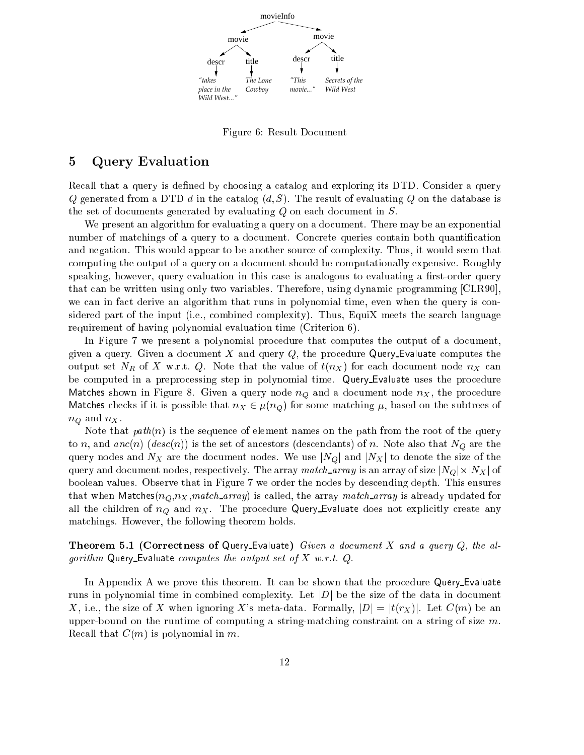

Figure 6: Result Do
ument

## 5 Query Evaluation

Recall that a query is defined by choosing a catalog and exploring its DTD. Consider a query  $\alpha$ , generating from a DTD d in the result of evaluating  $\alpha$ , see the database is the database is an one of the set of documents generated by evaluating  $Q$  on each document in  $S$ .

We present an algorithm for evaluating a query on a document. There may be an exponential number of matchings of a query to a document. Concrete queries contain both quantification and negation. This would appear to be another sour
e of omplexity. Thus, it would seem that computing the output of a query on a document should be computationally expensive. Roughly speaking, however, query evaluation in this case is analogous to evaluating a first-order query that can be written using only two variables. Therefore, using dynamic programming [CLR90], we can in fact derive an algorithm that runs in polynomial time, even when the query is considered part of the input (i.e., combined complexity). Thus, EquiX meets the search language requirement of having polynomial evaluation time (Criterion 6).

In Figure 7 we present a polynomial procedure that computes the output of a document, given a query. Given a document  $X$  and query  $Q$ , the procedure Query\_Evaluate computes the output set N<sub>R</sub> of X w.r.t. Q. Note that the value of  $t(n_X)$  for each document node  $n_X$  can be computed in a preprocessing step in polynomial time. Query\_Evaluate uses the procedure Matches shown in Figure 8. Given a query node  $n_Q$  and a document node  $n_X$ , the procedure Matches checks if it is possible that  $n_X \in \mu(n_Q)$  for some matching  $\mu$ , based on the subtrees of  $n_Q$  and  $n_X$ .

Note that  $path(n)$  is the sequence of element names on the path from the root of the query to n, and  $anc(n)$  ( $desc(n)$ ) is the set of ancestors (descendants) of n. Note also that  $N_Q$  are the query nodes and  $N_X$  are the document nodes. We use  $|N_Q|$  and  $|N_X|$  to denote the size of the array is a respect to a respect the array matrix  $\mu$  . The array is an array matrix when  $\mu$  of size  $\mu$  is an array  $\mu$ boolean values. Observe that in Figure 7 we order the nodes by des
ending depth. This ensures that when Matches( $n_Q, n_X, match\_array$ ) is called, the array match-array is already updated for all the children of  $n_Q$  and  $n_X$ . The procedure Query\_Evaluate does not explicitly create any mat
hings. However, the following theorem holds.

**Theorem 5.1 (Correctness of Query\_Evaluate)** Given a document X and a query  $Q$ , the algorithm Query\_Evaluate computes the output set of  $X$  w.r.t.  $Q$ .

In Appendix A we prove this theorem. It can be shown that the procedure Query\_Evaluate runs in polynomial time in combined complexity. Let  $|D|$  be the size of the data in document X, i.e., the size of X when ignoring X's meta-data. Formally,  $|D| = |t(r_X)|$ . Let  $C(m)$  be an upper-bound on the runtime of computing a string-matching constraint on a string of size  $m$ . Recall that  $C(m)$  is polynomial in m.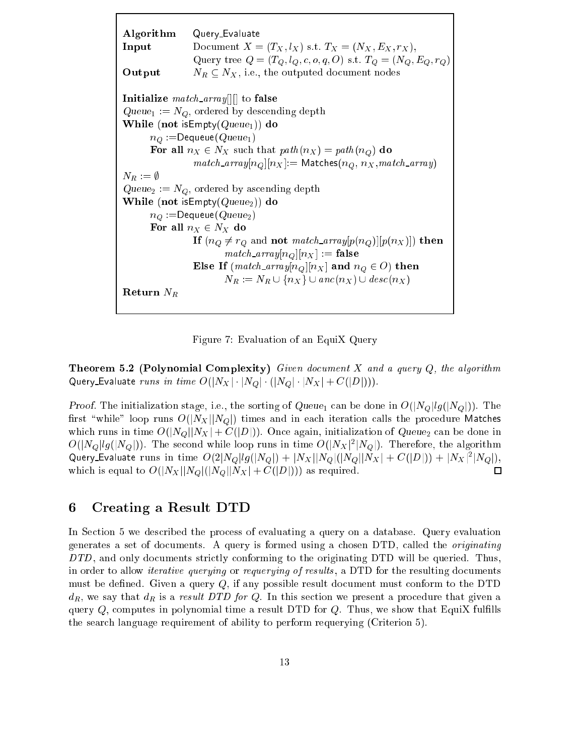Algorithm Query Evaluate **Input** Document  $X = (T_X, l_X)$  s.t.  $T_X = (N_X, E_X, r_X)$ , Query tree  $Q = (T_Q, l_Q, c, o, q, O)$  s.t.  $T_Q = (N_Q, E_Q, r_Q)$ **Output**  $N_R \subseteq N_X$ , i.e., the outputed document nodes Initialize  $match\_array|||$  to false Queue1 := NQ, ordered by des
ending depth While (not is Empty  $(Queue_1)$ ) do  $n_Q :=$ Dequeue $(Queue_1)$ For all  $n_X \in N_X$  such that  $path(n_X) = path(n_Q)$  do  $match\_array[n_Q][n_X] :=$  Matches $(n_Q, n_X, match\_array)$  $N_R := \emptyset$ Queue2 := NQ, ordered by as
ending depth While (not is Empty  $(Queue_2)$ ) do  $n_Q :=$ Dequeue $(Queue_2)$ For all  $n_X \in N_X$  do If  $(n_Q \neq r_Q$  and not match\_array $[p(n_Q)][p(n_X)])$  then  $match\_array[n_Q][n_X] := \textbf{false}$ Else If  $(match\_array[n_Q][n_X]$  and  $n_Q \in O$ ) then  $N_R := N_R \cup \{n_X\} \cup \mathop{anc}(n_X) \cup \mathop{desc}(n_X)$ Return  $N_R$ 

Figure 7: Evaluation of an EquiX Query

**Theorem 5.2 (Polynomial Complexity)** Given document X and a query  $Q$ , the algorithm Query Evaluate runs in time  $O(|N_X| \cdot |N_Q| \cdot (|N_Q| \cdot |N_X| + C(|D|)))$ .

Proof. The initialization stage, i.e., the sorting of Queue1 an be done in O(jNQjlg(jNQj)). The first "while" loop runs  $O(|N_X||N_Q|)$  times and in each iteration calls the procedure Matches which runs in time  $O(|N_Q||N_X| + C(|D|))$ . Once again, initialization of Queue<sub>2</sub> can be done in  $O(|N_Q||q(|N_Q|))$ . The second while loop runs in time  $O(|N_X|^{-}|N_Q|)$ . Therefore, the algorithm Query\_Evaluate runs in time  $O(2|NQ|Q(|NQ|)+|NX||NQ|(|NQ||NX|+|C(|D|))|+|NX|$  [ $NQ|$ ], which is equal to  $O(|N_X||N_Q|(|N_Q||N_X| + C(|D|)))$  as required. 口

#### 6 Creating a Result DTD 6

In Section 5 we described the process of evaluating a query on a database. Query evaluation generates a set of do
uments. A query is formed using a hosen DTD, alled the originating DTD, and only documents strictly conforming to the originating DTD will be queried. Thus, in order to allow *iterative querying* or *requerying of results*, a DTD for the resulting documents must be defined. Given a query  $Q$ , if any possible result document must conform to the DTD  $d_R$ , we say that  $d_R$  is a result DTD for Q. In this section we present a procedure that given a query  $Q$ , computes in polynomial time a result DTD for  $Q$ . Thus, we show that EquiX fulfills the sear
h language requirement of ability to perform requerying (Criterion 5).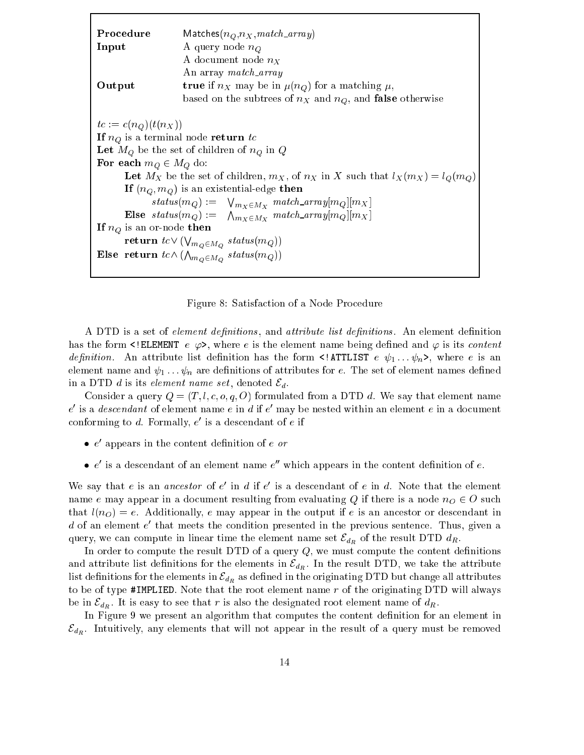**Procedure** Matches $(n_Q, n_X, match\_array)$ **Input** A query node  $n_Q$ A document node  $n_X$ An array match\_array **Output** true if  $n_X$  may be in  $\mu(n_Q)$  for a matching  $\mu$ , based on the subtrees of  $n_X$  and  $n_Q$ , and **false** otherwise  $tc := c(n_Q)(t(n_X))$ If  $n_Q$  is a terminal node return to Let  $M_Q$  be the set of children of  $n_Q$  in  $Q$ For each  $m_Q \in M_Q$  do: Let  $M_X$  be the set of children,  $m_X$ , of  $n_X$  in X such that  $l_X(m_X) = l_Q(m_Q)$ If  $(n_Q, m_Q)$  is an existential-edge then  $\textit{status}(m_Q) := \bigvee_{m_X \in M_X} \textit{match\_array}[m_Q][m_X] \ \textbf{Else } \textit{status}(m_Q) := \bigwedge_{m_X \in M_X} \textit{match\_array}[m_Q][m_X]$ If  $n_Q$  is an or-node then  $\texttt{return } \mathit{tc} \vee (\bigvee_{m_O \in M_O} \mathit{status}(m_Q))$ Else return  $tc \wedge (\bigwedge_{m_O \in M_O} \mathit{status}(m_Q))$ 

Figure 8: Satisfa
tion of a Node Pro
edure

A DTD is a set of *element definitions*, and *attribute list definitions*. An element definition has the form  $\leq$ !ELEMENT  $e \varphi$ , where e is the element name being defined and  $\varphi$  is its *content* definition. An attribute list declinition of the form  $\alpha$  is an attribute  $\alpha$  is  $\alpha$  is an an  $\alpha$  is an  $\alpha$ element manded the  $\tau$   $_{1}$  : : :  $\tau$   $_{H}$  the set of element computed for e. The set of element  $\tau$  is a set of element of element of in a DTD d is its element name set, denoted  $\mathcal{E}_d$ .

Consider a query  $Q = (T, l, c, o, q, O)$  formulated from a DTD d. We say that element name  $e$  is a descendant of element name  $e$  in  $a$  if  $e\,$  may be nested within an element  $e$  in a document conforming to  $a$ . Formally,  $e$  is a descendant of  $e$  if

- $\bullet$  e appears in the content definition of  $e$  or
- $\bullet$  e is a descendant of an element name  $e^-$  which appears in the content definition of  $e.$

We say that  $e$  is an *ancestor* of  $e$  in  $a$  if  $e$  is a descendant of  $e$  in  $a$ . Note that the element name e may appear in a document resulting from evaluating Q if there is a node  $n<sub>O</sub> \in O$  such that  $l(n<sub>O</sub>) = e$ . Additionally, e may appear in the output if e is an ancestor or descendant in  $a$  of an element  $e$  that meets the condition presented in the previous sentence. Thus, given a query, we can compute in linear time the element name set  $\mathcal{E}_{d_R}$  of the result DTD  $d_R$ .

In order to compute the result DTD of a query  $Q$ , we must compute the content definitions and attribute list definitions for the elements in  $\mathcal{E}_{d_R}$ . In the result DTD, we take the attribute list definitions for the elements in  $\mathcal{E}_{dR}$  as defined in the originating DTD but change all attributes to be of type  $\#IMPLIED.$  Note that the root element name r of the originating DTD will always be in  $\mathcal{E}_{d_R}$ . It is easy to see that r is also the designated root element name of  $d_R$ .

In Figure 9 we present an algorithm that computes the content definition for an element in  $\mathcal{E}_{d_R}$ . Intuitively, any elements that will not appear in the result of a query must be removed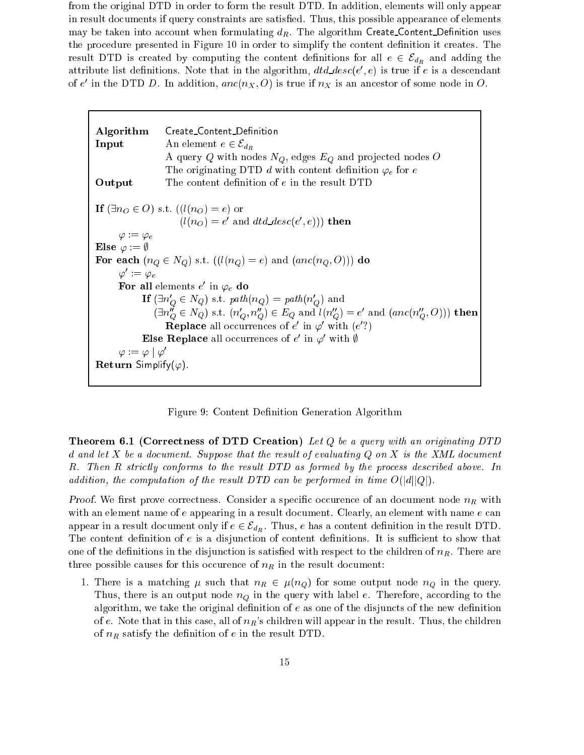from the original DTD in order to form the result DTD. In addition, elements will only appear in result documents if query constraints are satisfied. Thus, this possible appearance of elements may be taken into account when formulating  $d_R$ . The algorithm Create\_Content\_Definition uses the procedure presented in Figure 10 in order to simplify the content definition it creates. The result DTD is created by computing the content definitions for all  $e \in \mathcal{E}_{dR}$  and adding the attribute list definitions. Note that in the algorithm,  $ata\_aesc(e\ ,e)$  is true if  $e$  is a descendant of e in the DTD D. In addition,  $anc(n_X, O)$  is true if  $n_X$  is an ancestor of some node in O.



Figure 9: Content Definition Generation Algorithm

**Theorem 6.1 (Correctness of DTD Creation)** Let Q be a query with an originating DTD d and let suppose the result of the result of the result of evaluating  $\mathbf{Q}_i$  and  $\mathbf{z}$  is the XML domination R. Then R strictly conforms to the result DTD as formed by the process described above. In addition, the computation of the result DTD can be performed in time  $O(|d||Q|)$ .

Proof. We rst prove orre
tness. Consider <sup>a</sup> spe
i o

uren
e of an do
ument node nR with with an element name of  $e$  appearing in a result document. Clearly, an element with name  $e$  can appear in a result document only if  $e \in \mathcal{E}_{d_R}$ . Thus, e has a content definition in the result DTD. The content definition of  $e$  is a disjunction of content definitions. It is sufficient to show that one of the definitions in the disjunction is satisfied with respect to the children of  $n<sub>R</sub>$ . There are three possible causes for this occurence of  $n_R$  in the result document:

1. There is a matching  $\mu$  such that  $n_R \in \mu(n_Q)$  for some output node  $n_Q$  in the query. Thus, there is an output node  $n_Q$  in the query with label e. Therefore, according to the algorithm, we take the original definition of  $e$  as one of the disjuncts of the new definition of e. Note that in this case, all of  $n_R$ 's children will appear in the result. Thus, the children of  $n_R$  satisfy the definition of e in the result DTD.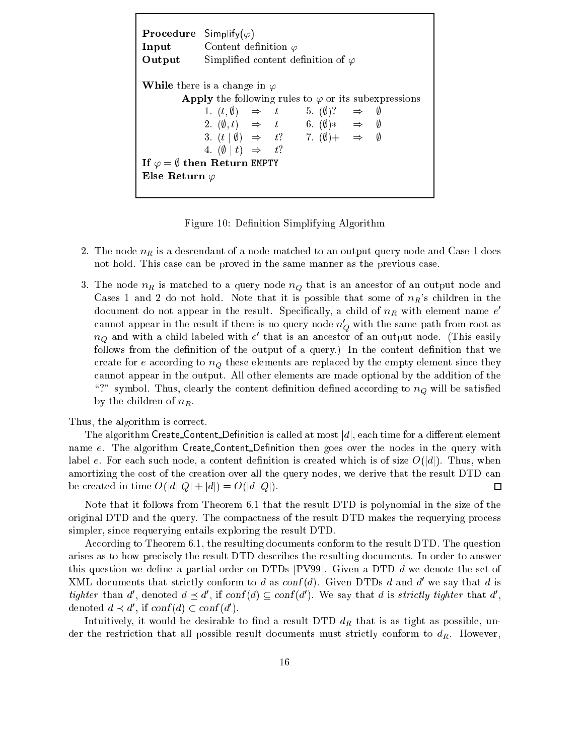**Procedure** Simplify $(\varphi)$ **Input** Content definition  $\varphi$ **Output** Simplified content definition of  $\varphi$ **While** there is a change in  $\varphi$ **Apply** the following rules to  $\varphi$  or its subexpressions 1.  $(t, \emptyset) \Rightarrow t$  5.  $(\emptyset)$ ?  $\Rightarrow \emptyset$ 2.  $(\emptyset, t) \Rightarrow t \qquad 6. \quad (\emptyset) * \Rightarrow \emptyset$ 3.  $(t | \emptyset) \Rightarrow t$ ? 7.  $(\emptyset)$ +  $\Rightarrow \emptyset$ 4.  $(\emptyset \mid t) \Rightarrow t$ ? If  $\varphi = \emptyset$  then Return EMPTY Else Return  $\varphi$ 

Figure 10: Definition Simplifying Algorithm

- 2. The node  $n_R$  is a descendant of a node matched to an output query node and Case 1 does not hold. This ase an be proved in the same manner as the previous ase.
- 3. The node  $n_R$  is matched to a query node  $n_Q$  that is an ancestor of an output node and Cases 1 and 2 do not hold. Note that it is possible that some of  $n_R$ 's children in the document do not appear in the result. Specifically, a child of  $n_R$  with element name  $e$ cannot appear in the result if there is no query hode  $n_Q$  with the same path from root as  $n_O$  and with a child labeled with  $e$  -that is an ancestor of an output node. (This easily follows from the definition of the output of a query.) In the content definition that we create for e according to  $n_Q$  these elements are replaced by the empty element since they annot appear in the output. All other elements are made optional by the addition of the "?" symbol. Thus, clearly the content definition defined according to  $n_Q$  will be satisfied by the children of  $n_R$ .

Thus, the algorithm is correct.

The algorithm Create\_Content\_Definition is called at most  $|d|$ , each time for a different element name e. The algorithm Create\_Content\_Definition then goes over the nodes in the query with label e. For each such node, a content definition is created which is of size  $O(|d|)$ . Thus, when amortizing the cost of the creation over all the query nodes, we derive that the result DTD can be created in time  $O(|d||Q| + |d|) = O(|d||Q|)$ .  $\Box$ 

Note that it follows from Theorem 6.1 that the result DTD is polynomial in the size of the original DTD and the query. The compactness of the result DTD makes the requerying process simpler, sin
e requerying entails exploring the result DTD.

According to Theorem 6.1, the resulting documents conform to the result DTD. The question arises as to how pre
isely the result DTD des
ribes the resulting do
uments. In order to answer this question we define a partial order on DTDs  $[PV99]$ . Given a DTD d we denote the set of XML documents that strictly conform to d as  $conf(d)$ . Given DTDs d and d' we say that d is  $t$ ughter than  $a$ , denoted  $a \setminus a$ , if  $\text{conf}(a) \subseteq \text{conf}(a)$ . We say that  $a$  is strictly ughter that  $a$ , denoted  $a \prec a$ , if conf  $(a) \subset \text{conf}(a)$ .

Intuitively, it would be desirable to find a result DTD  $d_R$  that is as tight as possible, under the restriction that all possible result documents must strictly conform to  $d_R$ . However,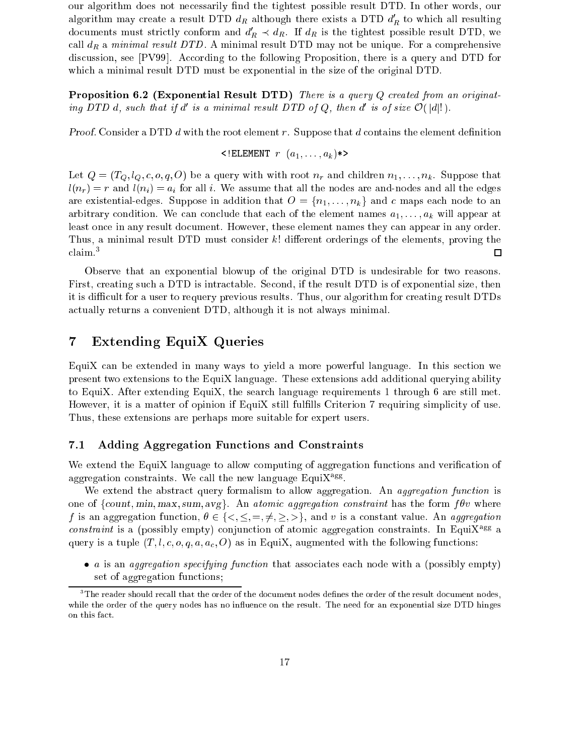our algorithm does not necessarily find the tightest possible result DTD. In other words, our algorithm may create a result DTD  $a_R$  although there exists a DTD  $a_R$  to which all resulting documents must strictly conform and  $a_R \prec a_R$ . If  $a_R$  is the tightest possible result DTD, we call  $d_R$  a minimal result DTD. A minimal result DTD may not be unique. For a comprehensive discussion, see [PV99]. According to the following Proposition, there is a query and DTD for which a minimal result DTD must be exponential in the size of the original DTD.

**Proposition 6.2 (Exponential Result DTD)** There is a query Q created from an originating DID a, such that if a used intituities result DID of Q, then a use of size  $O(|a|)$ .

Proof. Consider a DTD <sup>d</sup> with the root element r. Suppose that <sup>d</sup> ontains the element denition

$$
\mathsf{&} \colon \mathtt{ELEMENT} \; r \; (a_1, \ldots, a_k) \ast \mathsf{&}
$$

Let  $Q = (T_Q, l_Q, c, o, q, O)$  be a query with with root  $n_r$  and children  $n_1, \ldots, n_k$ . Suppose that  $l(n_r) = r$  and  $l(n_i) = a_i$  for all i. We assume that all the nodes are and-nodes and all the edges are existential-edges. Suppose in addition that  $O = \{n_1, \ldots, n_k\}$  and c maps each node to an arbitrary condition. We can conclude that each of the element names  $a_1, \ldots, a_k$  will appear at least once in any result document. However, these element names they can appear in any order. Thus, a minimal result DTD must consider k! different orderings of the elements, proving the laim.3  $\Box$ 

Observe that an exponential blowup of the original DTD is undesirable for two reasons. First, creating such a DTD is intractable. Second, if the result DTD is of exponential size, then it is difficult for a user to requery previous results. Thus, our algorithm for creating result DTDs a
tually returns a onvenient DTD, although it is not always minimal.

#### $\overline{7}$ **Extending EquiX Queries**

EquiX can be extended in many ways to yield a more powerful language. In this section we present two extensions to the EquiX language. These extensions add additional querying ability to EquiX. After extending EquiX, the sear
h language requirements 1 through 6 are still met. However, it is a matter of opinion if EquiX still fulfills Criterion 7 requiring simplicity of use. Thus, these extensions are perhaps more suitable for expert users.

#### 7.1 Adding Aggregation Fun
tions and Constraints

We extend the EquiX language to allow computing of aggregation functions and verification of aggregation constraints. We call the new language Equi $\Lambda$   $\infty$ .

We extend the abstract query formalism to allow aggregation. An *aggregation function* is one of  $\{count, min, max, sum, avg\}$ . An atomic aggregation constraint has the form  $f \theta v$  where  $f$  is an aggregation function,  $\epsilon$  is a function,  $\epsilon$  is a set of  $\epsilon$  is a constant value. An aggregation constraint is a (possibly empty) conjunction of atomic aggregation constraints. In Equi $X^{\text{agg}}$  a query is a tuple  $(T, l, c, o, q, a, a_c, O)$  as in EquiX, augmented with the following functions:

• a is an aggregation specifying function that associates each node with a (possibly empty) set of aggregation functions;

 $\lceil$  The reader should recall that the order of the document nodes defines the order of the result document nodes, while the order of the query nodes has no influence on the result. The need for an exponential size DTD hinges on this fa
t.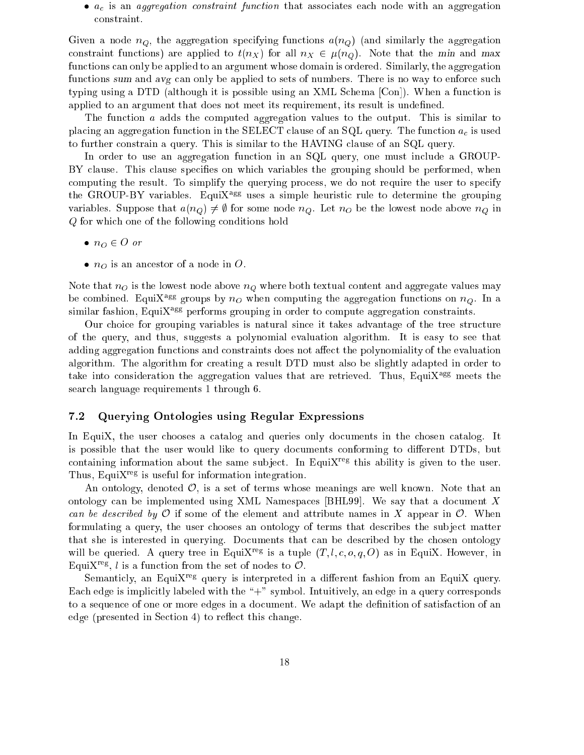•  $a_c$  is an *aggregation constraint function* that associates each node with an aggregation onstraint.

Given a node  $n_Q$ , the aggregation specifying functions  $a(n_Q)$  (and similarly the aggregation constraint functions) are applied to  $t(n_X)$  for all  $n_X \in \mu(n_Q)$ . Note that the min and max functions can only be applied to an argument whose domain is ordered. Similarly, the aggregation functions sum and avg can only be applied to sets of numbers. There is no way to enforce such typing using a DTD (although it is possible using an XML Schema  $[Con]$ ). When a function is applied to an argument that does not meet its requirement, its result is undefined.

The function a adds the computed aggregation values to the output. This is similar to placing an aggregation function in the SELECT clause of an SQL query. The function  $a_c$  is used to further onstrain a query. This is similar to the HAVING lause of an SQL query.

In order to use an aggregation function in an SQL query, one must include a GROUP-BY clause. This clause specifies on which variables the grouping should be performed, when computing the result. To simplify the querying process, we do not require the user to specify the GROUP-BY variables. EquiX<sup>agg</sup> uses a simple heuristic rule to determine the grouping variables. Suppose that  $a(n_Q) \neq \emptyset$  for some node  $n_Q$ . Let  $n_Q$  be the lowest node above  $n_Q$  in q, which we have the following the following distance of the following  $\sim$ 

- $n_O \in O$  or
- $n<sub>O</sub>$  is an ancestor of a node in O.

Note that  $n<sub>O</sub>$  is the lowest node above  $n<sub>O</sub>$  where both textual content and aggregate values may be combined. EquiX<sup>agg</sup> groups by  $n<sub>O</sub>$  when computing the aggregation functions on  $n<sub>Q</sub>$ . In a similar fashion, EquiX<sup>agg</sup> performs grouping in order to compute aggregation constraints.

Our choice for grouping variables is natural since it takes advantage of the tree structure of the query, and thus, suggests a polynomial evaluation algorithm. It is easy to see that adding aggregation functions and constraints does not affect the polynomiality of the evaluation algorithm. The algorithm for creating a result DTD must also be slightly adapted in order to take into consideration the aggregation values that are retrieved. Thus, Equi $X^{agg}$  meets the sear
h language requirements 1 through 6.

#### 7.2 Querying Ontologies using Regular Expressions

In EquiX, the user chooses a catalog and queries only documents in the chosen catalog. It is possible that the user would like to query documents conforming to different DTDs, but containing information about the same subject. In EquiX<sup>reg</sup> this ability is given to the user. Thus, Equi $X^{\text{reg}}$  is useful for information integration.

An ontology, denoted  $\mathcal{O}$ , is a set of terms whose meanings are well known. Note that an ontology can be implemented using XML Namespaces [BHL99]. We say that a document X can be described by  $\mathcal O$  if some of the element and attribute names in X appear in  $\mathcal O$ . When formulating a query, the user chooses an ontology of terms that describes the subject matter that she is interested in querying. Documents that can be described by the chosen ontology will be queried. A query tree in EquiX<sup>reg</sup> is a tuple  $(T, l, c, o, q, O)$  as in EquiX. However, in  $E$ qui $X^{\sim}$ ,  $\iota$  is a function from the set of nodes to  $\psi$ .

Semanticly, an EquiX<sup>reg</sup> query is interpreted in a different fashion from an EquiX query. Each edge is implicitly labeled with the "+" symbol. Intuitively, an edge in a query corresponds to a sequence of one or more edges in a document. We adapt the definition of satisfaction of an edge (presented in Section 4) to reflect this change.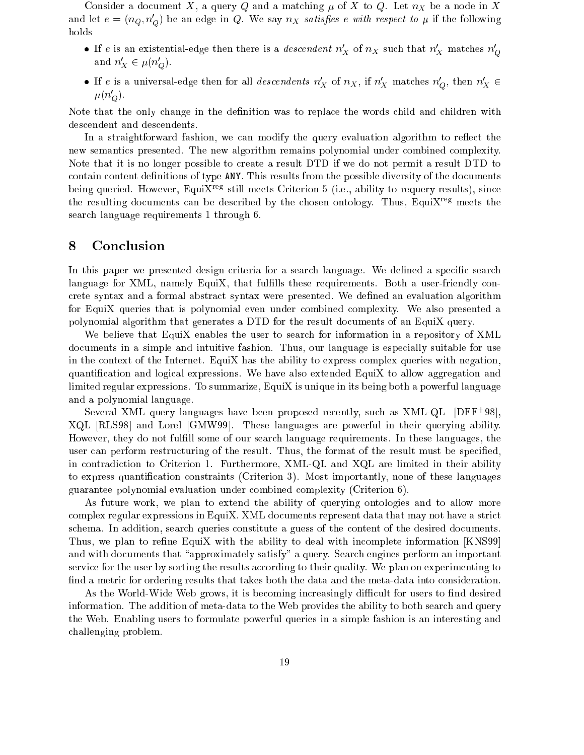Consider a document X, a query Q and a matching  $\mu$  of X to Q. Let  $n_X$  be a node in X and let  $e = (n_Q, n_Q)$  be an edge in Q. We say  $n_X$  satisfies e with respect to  $\mu$  if the following holds

- If e is an existential-edge then there is a *descendent*  $n_X$  of  $n_X$  such that  $n_X$  matches  $n_Q$ and  $n_X \in \mu(n_Q)$ .
- If e is a universal-edge then for all *descendents*  $n_X$  of  $n_X$ , if  $n_X$  matches  $n_O$ , then  $n_X \in$  $\mu(n_Q)$ .

Note that the only change in the definition was to replace the words child and children with des
endent and des
endents.

In a straightforward fashion, we can modify the query evaluation algorithm to reflect the new semantics presented. The new algorithm remains polynomial under combined complexity. Note that it is no longer possible to create a result DTD if we do not permit a result DTD to contain content definitions of type ANY. This results from the possible diversity of the documents being queried. However, Equi $X^{reg}$  still meets Criterion 5 (i.e., ability to requery results), since the resulting documents can be described by the chosen ontology. Thus, Equi $X^{reg}$  meets the sear
h language requirements 1 through 6.

### 8 Con
lusion

In this paper we presented design criteria for a search language. We defined a specific search language for XML, namely EquiX, that fulfills these requirements. Both a user-friendly conrete syntax and a formal abstra
t syntax were presented. We dened an evaluation algorithm for EquiX queries that is polynomial even under ombined omplexity. We also presented a polynomial algorithm that generates a DTD for the result do
uments of an EquiX query.

We believe that EquiX enables the user to sear
h for information in a repository of XML documents in a simple and intuitive fashion. Thus, our language is especially suitable for use in the ontext of the Internet. EquiX has the ability to express omplex queries with negation, quantification and logical expressions. We have also extended EquiX to allow aggregation and limited regular expressions. To summarize, EquiX is unique in its being both a powerful language and a polynomial language.

Several AML query languages nave been proposed recently, such as AML-QL |DFF+98|, XQL [RLS98] and Lorel [GMW99]. These languages are powerful in their querying ability. However, they do not fulfill some of our search language requirements. In these languages, the user can perform restructuring of the result. Thus, the format of the result must be specified, in ontradi
tion to Criterion 1. Furthermore, XML-QL and XQL are limited in their ability to express quantification constraints (Criterion 3). Most importantly, none of these languages guarantee polynomial evaluation under ombined omplexity (Criterion 6).

As future work, we plan to extend the ability of querying ontologies and to allow more complex regular expressions in EquiX. XML documents represent data that may not have a strict schema. In addition, search queries constitute a guess of the content of the desired documents. Thus, we plan to refine EquiX with the ability to deal with incomplete information [KNS99] and with documents that "approximately satisfy" a query. Search engines perform an important service for the user by sorting the results according to their quality. We plan on experimenting to find a metric for ordering results that takes both the data and the meta-data into consideration.

As the World-Wide Web grows, it is becoming increasingly difficult for users to find desired information. The addition of meta-data to the Web provides the ability to both sear
h and query the Web. Enabling users to formulate powerful queries in a simple fashion is an interesting and hallenging problem.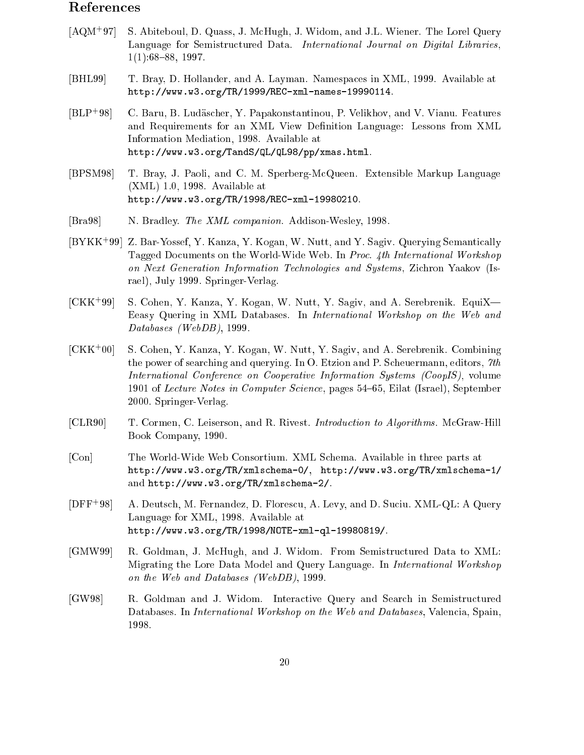## Referen
es

- $[AQM+97]$ S. Abiteboul, D. Quass, J. McHugh, J. Widom, and J.L. Wiener. The Lorel Query Language for Semistructured Data. International Journal on Digital Libraries,  $1(1):68-88, 1997.$
- [BHL99] T. Bray, D. Hollander, and A. Layman. Namespaces in XML, 1999. Available at http://www.w3.org/TR/1999/REC-xml-names-19990114.
- $[BLP+98]$ C. Baru, B. Ludäscher, Y. Papakonstantinou, P. Velikhov, and V. Vianu. Features and Requirements for an XML View Definition Language: Lessons from XML Information Mediation, 1998. Available at http://www.w3.org/TandS/QL/QL98/pp/xmas.html.
- [BPSM98] T. Bray, J. Paoli, and C. M. Sperberg-McQueen. Extensible Markup Language (XML) 1.0, 1998. Available at http://www.w3.org/TR/1998/REC-xml-19980210.
- [Bra98] N. Bradley. The XML companion. Addison-Wesley, 1998.
- [BYKK+99] Z. Bar-Yossef, Y. Kanza, Y. Kogan, W. Nutt, and Y. Sagiv. Querying Semantically Tagged Documents on the World-Wide Web. In *Proc. 4th International Workshop* on Next Generation Information Technologies and Systems, Zichron Yaakov (Israel), July 1999. Springer-Verlag.
- $[CKK+99]$ S. Cohen, Y. Kanza, Y. Kogan, W. Nutt, Y. Sagiv, and A. Serebrenik. EquiX— Eeasy Quering in XML Databases. In International Workshop on the Web and Databases (WebDB), 1999.
- $[CKK+00]$ S. Cohen, Y. Kanza, Y. Kogan, W. Nutt, Y. Sagiv, and A. Serebrenik. Combining the power of sear
hing and querying. In O. Etzion and P. S
heuermann, editors, 7th International Conferen
e on Cooperative Information Systems (CoopIS), volume 1901 of Lecture Notes in Computer Science, pages 54–65, Eilat (Israel), September 2000. Springer-Verlag.
- [CLR90] T. Cormen, C. Leiserson, and R. Rivest. *Introduction to Algorithms*. McGraw-Hill Book Company, 1990.
- [Con] The World-Wide Web Consortium. XML Schema. Available in three parts at http://www.w3.org/TR/xmls
hema-0/, http://www.w3.org/TR/xmls
hema-1/ and http://www.w3.org/TR/xmls
hema-2/.
- $[DFF+98]$ A. Deutsch, M. Fernandez, D. Florescu, A. Levy, and D. Suciu. XML-QL: A Query Language for XML, 1998. Available at http://www.w3.org/TR/1998/NOTE-xml-ql-19980819/.
- [GMW99] R. Goldman, J. McHugh, and J. Widom. From Semistructured Data to XML: Migrating the Lore Data Model and Query Language. In International Workshop on the Web and Databases (WebDB), 1999.
- [GW98] R. Goldman and J. Widom. Interactive Query and Search in Semistructured Databases. In *International Workshop on the Web and Databases*, Valencia, Spain, 1998.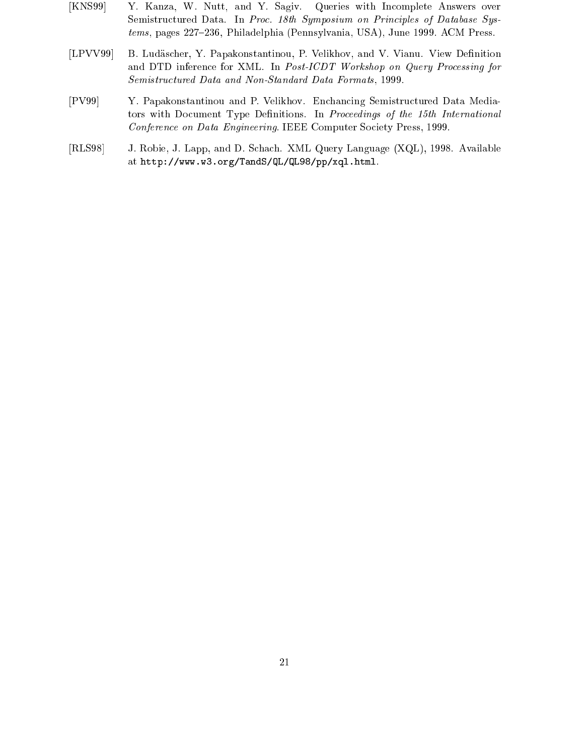- [KNS99] Y. Kanza, W. Nutt, and Y. Sagiv. Queries with Incomplete Answers over Semistructured Data. In Proc. 18th Symposium on Principles of Database Systems, pages 227-236, Philadelphia (Pennsylvania, USA), June 1999. ACM Press.
- [LPVV99] B. Ludäscher, Y. Papakonstantinou, P. Velikhov, and V. Vianu. View Definition and DTD inference for XML. In Post-ICDT Workshop on Query Processing for Semistru
tured Data and Non-Standard Data Formats, 1999.
- [PV99] Y. Papakonstantinou and P. Velikhov. Enchancing Semistructured Data Mediators with Document Type Definitions. In Proceedings of the 15th International Conference on Data Engineering. IEEE Computer Society Press, 1999.
- [RLS98] J. Robie, J. Lapp, and D. Schach. XML Query Language (XQL), 1998. Available at http://www.w3.org/TandS/QL/QL98/pp/xql.html.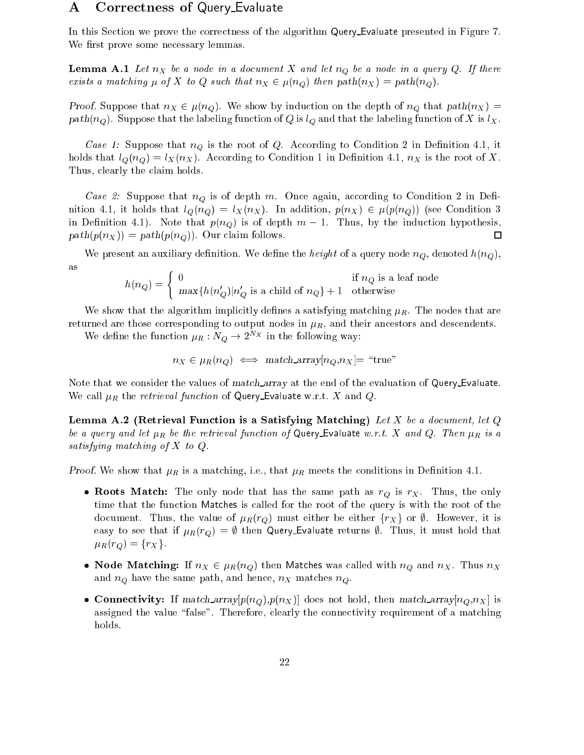## A Corre
tness of Query Evaluate

In this Section we prove the correctness of the algorithm Query\_Evaluate presented in Figure 7. We first prove some necessary lemmas.

**Lemma A.1** Let  $n_X$  be a node in a document X and let  $n_Q$  be a node in a query Q. If there exists a matching  $\mu$  of X to Q such that  $n_X \in \mu(n_Q)$  then  $path(n_X) = path(n_Q)$ .

 $P$ roof. Suppose that  $\{X \in P: \forall Q \}$ . We show by induction on the depth of  $\forall Q \in P$ path $(n_Q)$ . Suppose that the labeling function of Q is  $l_Q$  and that the labeling function of X is  $l_X$ .

Case 1: Suppose that  $n_Q$  is the root of Q. According to Condition 2 in Definition 4.1, it holds that  $l_Q(n_Q) = l_X(n_X)$ . According to Condition 1 in Definition 4.1,  $n_X$  is the root of X. Thus, learly the laim holds.

Case 2: Suppose that  $n_Q$  is of depth m. Once again, according to Condition 2 in Definition 4.1, it holds that  $l_Q(n_Q) = l_X(n_X)$ . In addition,  $p(n_X) \in \mu(p(n_Q))$  (see Condition 3 in Definition 4.1). Note that  $p(n_Q)$  is of depth  $m-1$ . Thus, by the induction hypothesis,  $path(p(n_X)) = path(p(n_Q))$ . Our claim follows.  $\Box$ 

We present an auxiliary definition. We define the *height* of a query node  $n_Q$ , denoted  $h(n_Q)$ , as  $\overline{\phantom{a}}$ 

$$
h(n_Q) = \begin{cases} 0 & \text{if } n_Q \text{ is a leaf node} \\ \max\{h(n_Q')|n_Q' \text{ is a child of } n_Q\} + 1 & \text{otherwise} \end{cases}
$$

We show that the algorithm implicitly defines a satisfying matching  $\mu_R$ . The nodes that are returned are those corresponding to output nodes in  $\mu_R$ , and their ancestors and descendents.

We define the function  $\mu_R : N_Q \to 2^{N_X}$  in the following way:

$$
n_X \in \mu_R(n_Q) \iff \text{match\_array}[n_Q, n_X] = \text{``true''}
$$

Note that we consider the values of match\_array at the end of the evaluation of Query\_Evaluate. We call  $\mu_R$  the *retrieval function* of Query\_Evaluate w.r.t. X and Q.

Lemma A.2 (Retrieval Function is a Satisfying Matching) Let X be a document, let  $Q$ be a query and let  $\mu_R$  be the retrieval function of Query\_Evaluate w.r.t. X and Q. Then  $\mu_R$  is a satisfying mat
hing of <sup>X</sup> to Q.

Proof. We show that R is <sup>a</sup> mat
hing, i.e., that R meets the onditions in Denition 4.1.

- Roots Match: The only node that has the same path as  $r_Q$  is  $r_X$ . Thus, the only time that the fun
tion Mat
hes is alled for the root of the query is with the root of the document. Thus, the value of  $\mu_R(r_Q)$  must either be either  $\{r_X\}$  or  $\emptyset$ . However, it is easy to see that if  $\mu_R(r_Q) = \emptyset$  then Query-Evaluate returns  $\emptyset$ . Thus, it must hold that  $\mu_R(r_Q) = \{r_X\}.$
- Node Matching: If  $n_X \in \mu_R(n_Q)$  then Matches was called with  $n_Q$  and  $n_X$ . Thus  $n_X$ and  $n_Q$  have the same path, and hence,  $n_X$  matches  $n_Q$ .
- Connectivity: If match\_array $[p(n_Q), p(n_X)]$  does not hold, then match\_array $[n_Q, n_X]$  is assigned the value "false". Therefore, clearly the connectivity requirement of a matching holds.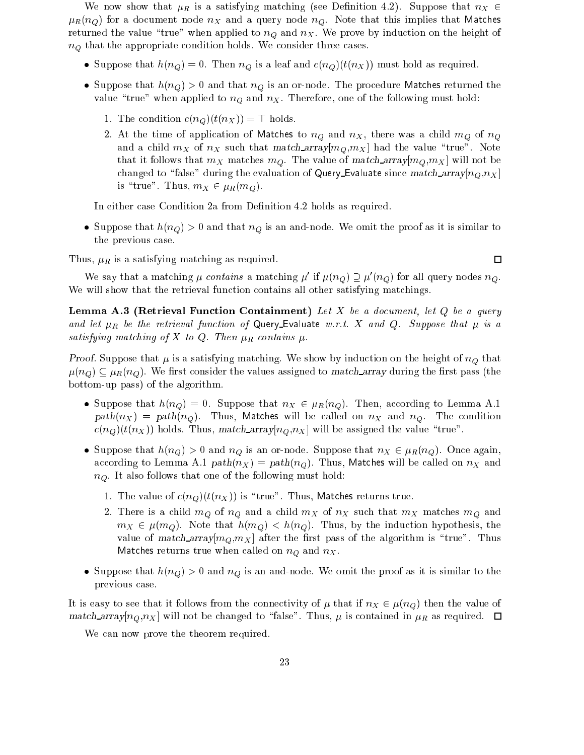We now show that  $\mu_R$  is a satisfying matching (see Definition 4.2). Suppose that  $n_X \in$  $\mu_R(n_Q)$  for a document node  $n_X$  and a query node  $n_Q$ . Note that this implies that Matches returned the value "true" when applied to  $n_Q$  and  $n_X$ . We prove by induction on the height of  $n_Q$  that the appropriate condition holds. We consider three cases.

- Suppose that  $h(n_Q) = 0$ . Then  $n_Q$  is a leaf and  $c(n_Q)(t(n_X))$  must hold as required.
- Suppose that  $h(n_Q) > 0$  and that  $n_Q$  is an or-node. The procedure Matches returned the value "true" when applied to  $n_Q$  and  $n_X$ . Therefore, one of the following must hold:
	- 1. The condition  $c(n_Q)(t(n_X)) = \top$  holds.
	- 2. At the time of application of Matches to  $n_Q$  and  $n_X$ , there was a child  $m_Q$  of  $n_Q$ and a child  $m_X$  of  $n_X$  such that match\_array $[m_Q, m_X]$  had the value "true". Note that it follows that  $m_X$  matches  $m_Q$ . The value of match array  $[m_Q, m_X]$  will not be changed to "false" during the evaluation of Query Evaluate since match array  $n_Q, n_X$ is "true". Thus,  $m_X \in \mu_R(m_Q)$ .

In either case Condition 2a from Definition 4.2 holds as required.

Suppose that  $h(n_Q) > 0$  and that  $n_Q$  is an and-node. We omit the proof as it is similar to the previous ase.

Thus,  $\mu_R$  is a satisfying matching as required.

 $\Box$ 

We say that a matching  $\mu$  contains a matching  $\mu$  if  $\mu(n_Q) \supseteq \mu(n_Q)$  for all query nodes  $n_Q$ . We will show that the retrieval function contains all other satisfying matchings.

**Lemma A.3 (Retrieval Function Containment)** Let X be a document, let Q be a query and let  $\mu_R$  be the retrieval function of Query\_Evaluate w.r.t. X and Q. Suppose that  $\mu$  is a satisfying matching of X to Q. Then  $\mu_R$  contains  $\mu$ .

Proof. Suppose that is <sup>a</sup> satisfying mat
hing. We show by indu
tion on the height of nQ that  $\mu(n_Q) \subseteq \mu_R(n_Q)$ . We first consider the values assigned to match array during the first pass (the bottom-up pass) of the algorithm.

- Suppose that  $h(n_Q) = 0$ . Suppose that  $n_X \in \mu_R(n_Q)$ . Then, according to Lemma A.1  $path(n_X) = path(n_O)$ . Thus, Matches will be called on  $n_X$  and  $n_O$ . The condition  $c(n_Q)(t(n_X))$  holds. Thus, match\_array $[n_Q, n_X]$  will be assigned the value "true".
- Suppose that  $h(n_Q) > 0$  and  $n_Q$  is an or-node. Suppose that  $n_X \in \mu_R(n_Q)$ . Once again, according to Lemma A.1  $path(n_X) = path(n_Q)$ . Thus, Matches will be called on  $n_X$  and  $n_Q$ . It also follows that one of the following must hold:
	- 1. The value of  $c(n_Q)(t(n_X))$  is "true". Thus, Matches returns true.
	- 2. There is a child  $m_Q$  of  $n_Q$  and a child  $m_X$  of  $n_X$  such that  $m_X$  matches  $m_Q$  and  $m_X \in \mu(m_Q)$ . Note that  $h(m_Q) < h(n_Q)$ . Thus, by the induction hypothesis, the value of match\_array $[m_Q, m_X]$  after the first pass of the algorithm is "true". Thus Matches returns true when called on  $n_Q$  and  $n_X$ .
- Suppose that  $h(n_Q) > 0$  and  $n_Q$  is an and-node. We omit the proof as it is similar to the previous ase.

It is easy to see that it follows from the connectivity of  $\mu$  that if  $n_X \in \mu(n_Q)$  then the value of material material corresponds to the corresponding to the corresponding in R as required in R as required in R

We can now prove the theorem required.